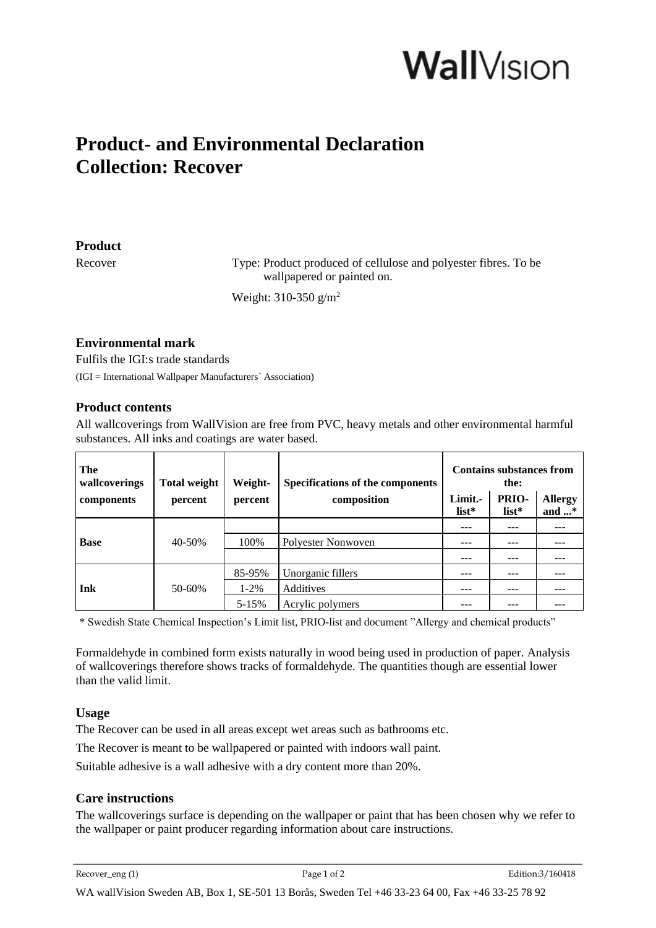# **Wall**Vision

# **Product- and Environmental Declaration Collection: Recover**

#### **Product**

Recover Type: Product produced of cellulose and polyester fibres. To be wallpapered or painted on.

Weight: 310-350 g/m<sup>2</sup>

### **Environmental mark**

Fulfils the IGI:s trade standards (IGI = International Wallpaper Manufacturers´ Association)

#### **Product contents**

All wallcoverings from WallVision are free from PVC, heavy metals and other environmental harmful substances. All inks and coatings are water based.

| The<br>wallcoverings<br>components | <b>Total weight</b><br>percent | Weight-<br>percent | Specifications of the components<br>composition | <b>Contains substances from</b><br>the:<br>PRIO-<br>Limit.-<br><b>Allergy</b> |         |                |
|------------------------------------|--------------------------------|--------------------|-------------------------------------------------|-------------------------------------------------------------------------------|---------|----------------|
|                                    |                                |                    |                                                 | $list*$                                                                       | $list*$ | and $\ldots$ * |
| <b>Base</b>                        | 40-50%                         |                    |                                                 | ---                                                                           | ---     |                |
|                                    |                                | 100%               | Polyester Nonwoven                              | ---                                                                           | ---     |                |
|                                    |                                |                    |                                                 | ---                                                                           | ---     |                |
| Ink                                | 50-60%                         | 85-95%             | Unorganic fillers                               | ---                                                                           | ---     |                |
|                                    |                                | $1 - 2\%$          | Additives                                       |                                                                               | ---     |                |
|                                    |                                | $5 - 15%$          | Acrylic polymers                                |                                                                               |         |                |

\* Swedish State Chemical Inspection's Limit list, PRIO-list and document "Allergy and chemical products"

Formaldehyde in combined form exists naturally in wood being used in production of paper. Analysis of wallcoverings therefore shows tracks of formaldehyde. The quantities though are essential lower than the valid limit.

# **Usage**

The Recover can be used in all areas except wet areas such as bathrooms etc.

The Recover is meant to be wallpapered or painted with indoors wall paint.

Suitable adhesive is a wall adhesive with a dry content more than 20%.

# **Care instructions**

The wallcoverings surface is depending on the wallpaper or paint that has been chosen why we refer to the wallpaper or paint producer regarding information about care instructions.